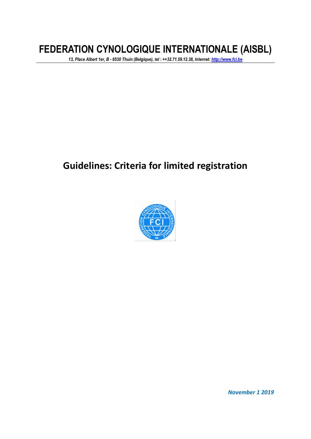# **FEDERATION CYNOLOGIQUE INTERNATIONALE (AISBL)**

*13, Place Albert 1er, B - 6530 Thuin (Belgique), tel : ++32.71.59.12.38, Internet: [http://www.fci.be](http://www.fci.be/)*

## **Guidelines: Criteria for limited registration**



*November 1 2019*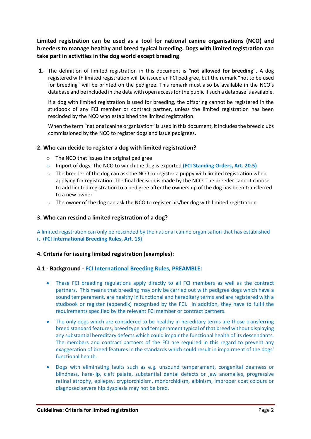**Limited registration can be used as a tool for national canine organisations (NCO) and breeders to manage healthy and breed typical breeding. Dogs with limited registration can take part in activities in the dog world except breeding**.

**1.** The definition of limited registration in this document is **"not allowed for breeding".** A dog registered with limited registration will be issued an FCI pedigree, but the remark "not to be used for breeding" will be printed on the pedigree. This remark must also be available in the NCO's database and be included in the data with open access for the public if such a database is available.

If a dog with limited registration is used for breeding, the offspring cannot be registered in the studbook of any FCI member or contract partner, unless the limited registration has been rescinded by the NCO who established the limited registration.

When the term "national canine organisation" is used in this document, it includes the breed clubs commissioned by the NCO to register dogs and issue pedigrees.

## **2. Who can decide to register a dog with limited registration?**

- o The NCO that issues the original pedigree
- o Import of dogs: The NCO to which the dog is exported **(FCI Standing Orders, Art. 20.5)**
- o The breeder of the dog can ask the NCO to register a puppy with limited registration when applying for registration. The final decision is made by the NCO. The breeder cannot choose to add limited registration to a pedigree after the ownership of the dog has been transferred to a new owner
- $\circ$  The owner of the dog can ask the NCO to register his/her dog with limited registration.

## **3. Who can rescind a limited registration of a dog?**

A limited registration can only be rescinded by the national canine organisation that has established it. (**FCI International Breeding Rules, Art. 15)**

## **4. Criteria for issuing limited registration (examples):**

## **4.1 - Background - FCI International Breeding Rules, PREAMBLE:**

- These FCI breeding regulations apply directly to all FCI members as well as the contract partners. This means that breeding may only be carried out with pedigree dogs which have a sound temperament, are healthy in functional and hereditary terms and are registered with a studbook or register (appendix) recognised by the FCI. In addition, they have to fulfil the requirements specified by the relevant FCI member or contract partners.
- The only dogs which are considered to be healthy in hereditary terms are those transferring breed standard features, breed type and temperament typical of that breed without displaying any substantial hereditary defects which could impair the functional health of its descendants. The members and contract partners of the FCI are required in this regard to prevent any exaggeration of breed features in the standards which could result in impairment of the dogs' functional health.
- Dogs with eliminating faults such as e.g. unsound temperament, congenital deafness or blindness, hare-lip, cleft palate, substantial dental defects or jaw anomalies, progressive retinal atrophy, epilepsy, cryptorchidism, monorchidism, albinism, improper coat colours or diagnosed severe hip dysplasia may not be bred.